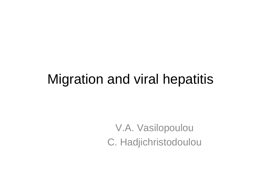#### Migration and viral hepatitis

V.A. Vasilopoulou C. Hadjichristodoulou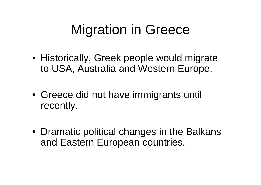# Migration in Greece

- Historically, Greek people would migrate to USA, Australia and Western Europe.
- Greece did not have immigrants until recently.
- Dramatic political changes in the Balkans and Eastern European countries.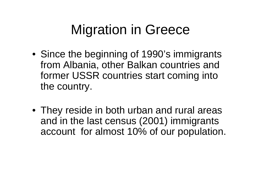# Migration in Greece

- Since the beginning of 1990's immigrants from Albania, other Balkan countries and former USSR countries start coming into the country.
- They reside in both urban and rural areas and in the last census (2001) immigrants account for almost 10% of our population.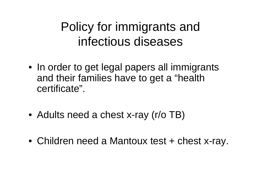#### Policy for immigrants and infectious diseases

- In order to get legal papers all immigrants and their families have to get a "health certificate".
- Adults need a chest x-ray (r/o TB)
- Children need a Mantoux test + chest x-ray.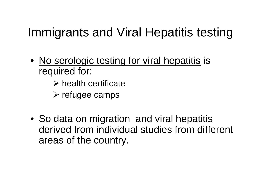## Immigrants and Viral Hepatitis testing

- No serologic testing for viral hepatitis is required for:
	- $\triangleright$  health certificate
	- $\triangleright$  refugee camps
- So data on migration and viral hepatitis derived from individual studies from different areas of the country.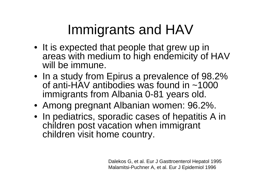# Immigrants and HAV

- It is expected that people that grew up in areas with medium to high endemicity of HAV will be immune.
- In a study from Epirus a prevalence of 98.2% of anti-HAV antibodies was found in ~1000 immigrants from Albania 0-81 years old.
- Among pregnant Albanian women: 96.2%.
- In pediatrics, sporadic cases of hepatitis A in children post vacation when immigrant children visit home country.

Dalekos G, et al. Eur J Gasttroenterol Hepatol 1995 Malamitsi-Puchner A, et al. Eur J Epidemiol 1996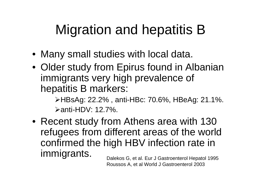# Migration and hepatitis B

- Many small studies with local data.
- Older study from Epirus found in Albanian immigrants very high prevalence of hepatitis B markers:

¾HBsAg: 22.2% , anti-HBc: 70.6%, HBeAg: 21.1%.  $\triangleright$  anti-HDV: 12.7%.

• Recent study from Athens area with 130 refugees from different areas of the world confirmed the high HBV infection rate in immigrants. Dalekos G, et al. Eur J Gastroenterol Hepatol 1995

Roussos A, et al World J Gastroenterol 2003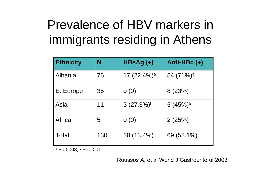## Prevalence of HBV markers in immigrants residing in Athens

| <b>Ethnicity</b> | N   | HBsAg (+)               | Anti-HBc (+)          |
|------------------|-----|-------------------------|-----------------------|
| Albania          | 76  | 17 (22.4%) <sup>a</sup> | 54 (71%) <sup>a</sup> |
| E. Europe        | 35  | 0(0)                    | 8(23%)                |
| Asia             | 11  | $3(27.3%)^b$            | $5(45%)^b$            |
| Africa           | 5   | 0(0)                    | 2(25%)                |
| <b>Total</b>     | 130 | 20 (13.4%)              | 69 (53.1%)            |

 $a$  P<0.008,  $b$  P<0.001

Roussos A, et al World J Gastroenterol 2003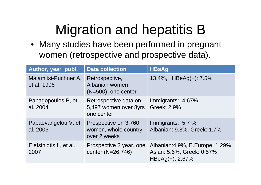## Migration and hepatitis B

• Many studies have been performed in pregnant women (retrospective and prospective data).

| Author, year publ.                  | <b>Data collection</b>                                       | <b>HBsAg</b>                                                                          |
|-------------------------------------|--------------------------------------------------------------|---------------------------------------------------------------------------------------|
| Malamitsi-Puchner A,<br>et al. 1996 | Retrospective,<br>Albanian women<br>$(N=500)$ , one center   | 13.4%, HBeAg(+): 7.5%                                                                 |
| Panagopoulos P, et<br>al. 2004      | Retrospective data on<br>5,497 women over 8yrs<br>one center | Immigrants: 4.67%<br>Greek: 2.9%                                                      |
| Papaevangelou V, et<br>al. 2006     | Prospective on 3,760<br>women, whole country<br>over 2 weeks | Immigrants: 5.7 %<br>Albanian: 9.8%, Greek: 1.7%                                      |
| Elefsiniotis L, et al.<br>2007      | Prospective 2 year, one<br>center (N=26,746)                 | Albanian: 4.9%, E. Europe: 1.29%,<br>Asian: 5.6%, Greek: 0.57%<br>HBeAg $(+)$ : 2.67% |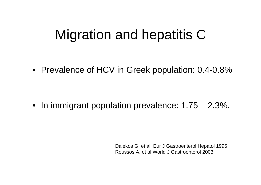## Migration and hepatitis C

• Prevalence of HCV in Greek population: 0.4-0.8%

• In immigrant population prevalence: 1.75 – 2.3%.

Dalekos G, et al. Eur J Gastroenterol Hepatol 1995 Roussos A, et al World J Gastroenterol 2003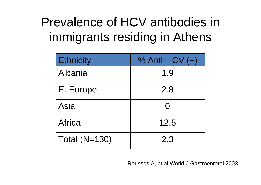### Prevalence of HCV antibodies in immigrants residing in Athens

| Ethnicity     | $%$ Anti-HCV $(+)$ |
|---------------|--------------------|
| Albania       | 1.9                |
| E. Europe     | 2.8                |
| Asia          | $\Omega$           |
| Africa        | 12.5               |
| Total (N=130) | 2.3                |

Roussos A, et al World J Gastroenterol 2003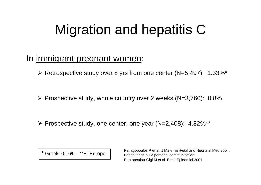# Migration and hepatitis C

#### In immigrant pregnant women:

¾ Retrospective study over 8 yrs from one center (N=5,497): 1.33%\*

¾ Prospective study, whole country over 2 weeks (N=3,760): 0.8%

¾ Prospective study, one center, one year (N=2,408): 4.82%\*\*

Greek: 0.16% \*\* E. Europe

Panagopoulos P et al. J Maternal-Fetal and Neonatal Med 2004. Papaevangelou V personal communication. Raptopoulou-Gigi M et al. Eur J Epidemiol 2001.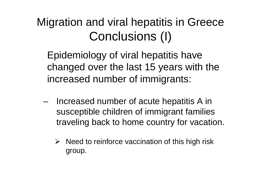#### Migration and viral hepatitis in Greece Conclusions (I)

Epidemiology of viral hepatitis have changed over the last 15 years with the increased number of immigrants:

- Increased number of acute hepatitis A in susceptible children of immigrant families traveling back to home country for vacation.
	- $\triangleright$  Need to reinforce vaccination of this high risk group.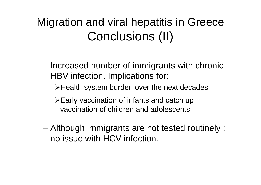#### Migration and viral hepatitis in Greece Conclusions (II)

- Increased number of immigrants with chronic HBV infection. Implications for:
	- ¾Health system burden over the next decades.
	- $\triangleright$  Early vaccination of infants and catch up vaccination of children and adolescents.
- Although immigrants are not tested routinely ; no issue with HCV infection.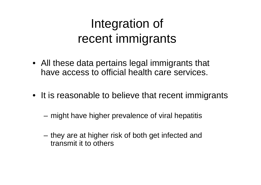#### Integration of recent immigrants

- All these data pertains legal immigrants that have access to official health care services.
- It is reasonable to believe that recent immigrants
	- might have higher prevalence of viral hepatitis
	- they are at higher risk of both get infected and transmit it to others